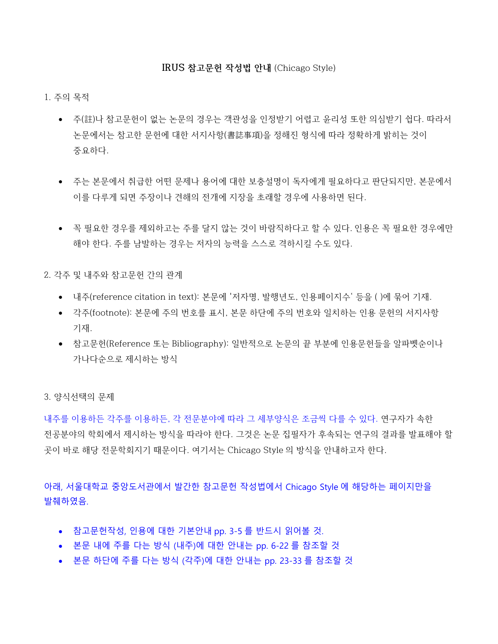#### **IRUS 참고문헌 작성법 안내** (Chicago Style)

#### 1. 주의 목적

- 주(註)나 참고문헌이 없는 논문의 경우는 객관성을 인정받기 어렵고 윤리성 또한 의심받기 쉽다. 따라서 논문에서는 참고한 문헌에 대한 서지사항(書誌事項)을 정해진 형식에 따라 정확하게 밝히는 것이 중요하다.
- 주는 본문에서 취급한 어떤 문제나 용어에 대한 보충설명이 독자에게 필요하다고 판단되지만, 본문에서 이를 다루게 되면 주장이나 견해의 전개에 지장을 초래할 경우에 사용하면 된다.
- 꼭 필요한 경우를 제외하고는 주를 달지 않는 것이 바람직하다고 할 수 있다. 인용은 꼭 필요한 경우에만 해야 한다. 주를 남발하는 경우는 저자의 능력을 스스로 격하시킬 수도 있다.

2. 각주 및 내주와 참고문헌 간의 관계

- 내주(reference citation in text): 본문에 '저자명, 발행년도, 인용페이지수' 등을 ( )에 묶어 기재.
- 각주(footnote): 본문에 주의 번호를 표시, 본문 하단에 주의 번호와 일치하는 인용 문헌의 서지사항 기재.
- 참고문헌(Reference 또는 Bibliography): 일반적으로 논문의 끝 부분에 인용문헌들을 알파벳순이나 가나다순으로 제시하는 방식

3. 양식선택의 문제

내주를 이용하든 각주를 이용하든, 각 전문분야에 따라 그 세부양식은 조금씩 다를 수 있다. 연구자가 속한 전공분야의 학회에서 제시하는 방식을 따라야 한다. 그것은 논문 집필자가 후속되는 연구의 결과를 발표해야 할 곳이 바로 해당 전문학회지기 때문이다. 여기서는 Chicago Style 의 방식을 안내하고자 한다.

아래, 서울대학교 중앙도서관에서 발간한 참고문헌 작성법에서 Chicago Style 에 해당하는 페이지만을 발췌하였음.

- 참고문헌작성, 인용에 대한 기본안내 pp. 3-5 를 반드시 읽어볼 것.
- 본문 내에 주를 다는 방식 (내주)에 대한 안내는 pp. 6-22 를 참조할 것
- 본문 하단에 주를 다는 방식 (각주)에 대한 안내는 pp. 23-33 를 참조할 것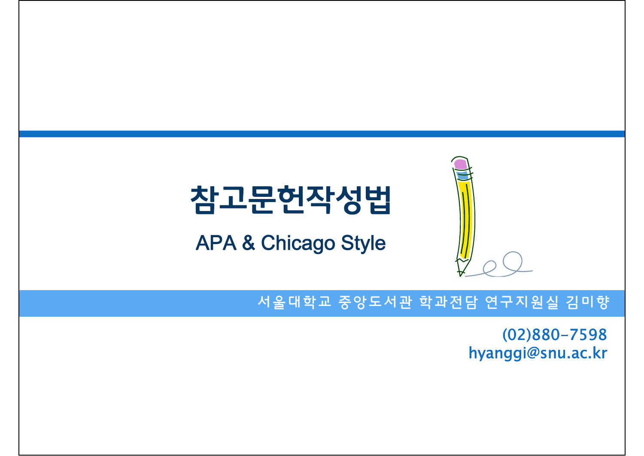

### 참고문헌작성법

APA & Chicago Style

#### 서울대학교 중앙도서관 학과전담 연구지원실 김미향

(02)880-7598 hyanggi@snu.ac.kr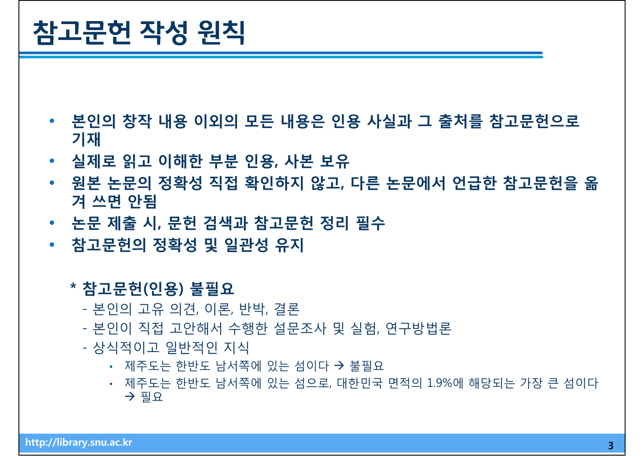### 참고문헌 작성 원칙

- **본인의 창작 내용 이외의 모든 내용은 인용 사실과 그 출처를 참고문헌으로 기재**
- **실제로 읽고 이해한 부분 인용, 사본 보유**
- **원본 논문의 정확성 직접 확인하지 않고, 다른 논문에서 언급한 참고문헌을 옮 겨 쓰면 안됨**
- **논문 제출 시, 문헌 검색과 참고문헌 정리 필수**
- **참고문헌의 정확성 및 일관성 유지**

#### **\* 참고문헌(인용) 불필요**

- 본인의 고유 의견, 이론, 반박, 결론
- 본인이 직접 고안해서 수행한 설문조사 및 실험, 연구방법론
- 상식적이고 일반적인 지식
	- 제주도는 한반도 남서쪽에 있는 섬이다 → 불필요
	- 제주도는 한반도 남서쪽에 있는 섬으로, 대한민국 면적의 1.9%에 해당되는 가장 큰 섬이다  $\rightarrow$  필요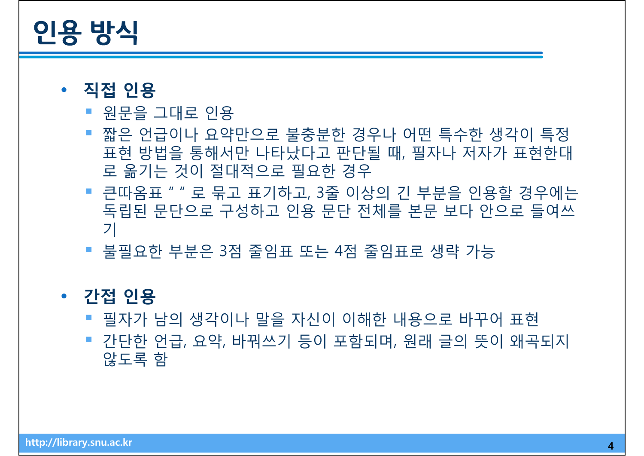### 인용 방식

- **직접 인용**
	- 원문을 그대로 인용
	- 짧은 언급이나 요약만으로 불충분한 경우나 어떤 특수한 생각이 특정 표현 방법을 통해서만 나타났다고 판단될 때, 필자나 저자가 표현한대 로 옮기는 것이 절대적으로 필요한 경우
	- 큰따옴표 " " 로 묶고 표기하고, 3줄 이상의 긴 부분을 인용할 경우에는 독립된 문단으로 구성하고 인용 문단 전체를 본문 보다 안으로 들여쓰 기
	- 불필요한 부분은 3점 줄임표 또는 4점 줄임표로 생략 가능

### • **간접 인용**

- 필자가 남의 생각이나 말을 자신이 이해한 내용으로 바꾸어 표현
- 간단한 언급, 요약, 바꿔쓰기 등이 포함되며, 원래 글의 뜻이 왜곡되지 않도록 함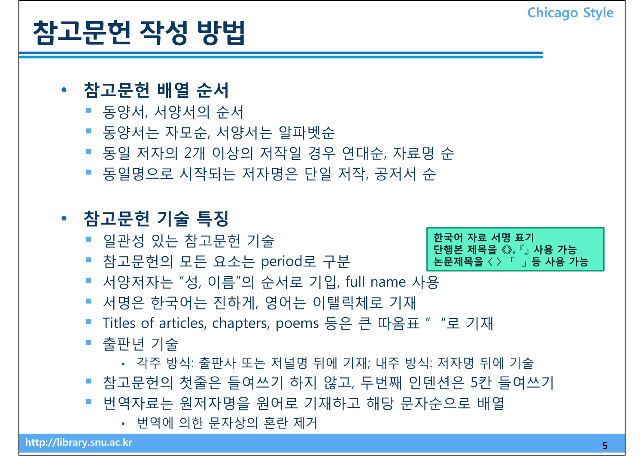# 참고문헌 작성 방법 **Chicago Style**

#### • **참고문헌 배열 순서**

- 동양서, 서양서의 순서
- 동양서는 자모순, 서양서는 알파벳순
- 동일 저자의 2개 이상의 저작일 경우 연대순, 자료명 순
- 동일명으로 시작되는 저자명은 단일 저작, 공저서 순

### • **참고문헌 기술 특징**

- 일관성 있는 참고문헌 기술 **한국어 자료 서명 표기 단행본 제목을 《》, 『』 사용 가능**
- 참고문헌의 모든 요소는 period로 구분
- 서양저자는 "성, 이름"의 순서로 기입, full name 사용
- 서명은 한국어는 진하게, 영어는 이탤릭체로 기재
- Titles of articles, chapters, poems 등은 큰 따옴표 " "로 기재
- 출판년 기술
	- 각주 방식: 출판사 또는 저널명 뒤에 기재; 내주 방식: 저자명 뒤에 기술
- 참고문헌의 첫줄은 들여쓰기 하지 않고, 두번째 인덴션은 5칸 들여쓰기
- 번역자료는 원저자명을 원어로 기재하고 해당 문자순으로 배열
	- 번역에 의한 문자상의 혼란 제거

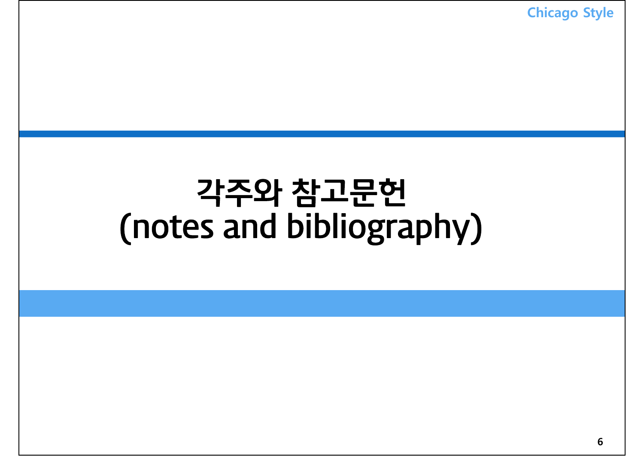각주와 참고문헌 (notes and bibliography) **Chicago Style**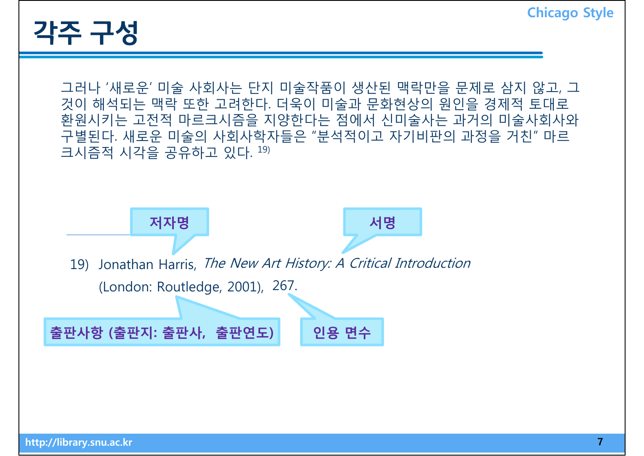

그러나 '새로운' 미술 사회사는 단지 미술작품이 생산된 맥락만을 문제로 삼지 않고, 그 것이 해석되는 맥락 또한 고려한다. 더욱이 미술과 문화현상의 원인을 경제적 토대로 환원시키는 고전적 마르크시즘을 지양한다는 점에서 신미술사는 과거의 미술사회사와 구별된다. 새로운 미술의 사회사학자들은 "분석적이고 자기비판의 과정을 거친" 마르 크시즘적 시각을 공유하고 있다.  $^{19)}$ 

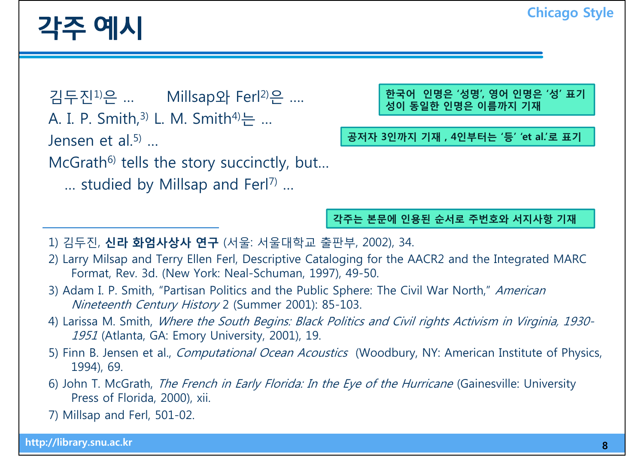### 각주 예시 **Chicago Style**

김두진1)은 … Millsap와 Ferl 김두진 은 Ferl2)은 …. **한국어 인명은 '성명', 영어 인명은 '성' 표기**

A. I. P. Smith,  $3)$  L. M. Smith $4$ <sup>1</sup> $\pm$  ...

Jensen et al.<sup>5)</sup> ...

 $McGrath<sup>6</sup>$  tells the story succinctly, but...

 $\ldots$  studied by Millsap and Ferl<sup>7)</sup> ...

**성이 동일한 인명은 이름까지 기재**

**공저자 3인까지 기재 , 4인부터는 '등' 'et al.'로 표기**

**각주는 본문에 인용된 순서로 주번호와 서지사항 기재**

- 1) 김두진, **신라 화엄사상사 연구** (서울: 서울대학교 출판부, 2002), 34.
- 2) Larry Milsap and Terry Ellen Ferl, Descriptive Cataloging for the AACR2 and the Integrated MARC Format, Rev. 3d. (New York: Neal-Schuman, 1997), 49-50.
- 3) Adam I. P. Smith, "Partisan Politics and the Public Sphere: The Civil War North," American Nineteenth Century History 2 (Summer 2001): 85-103.
- 4) Larissa M. Smith, Where the South Begins: Black Politics and Civil rights Activism in Virginia, 1930- 1951 (Atlanta, GA: Emory University, 2001), 19.
- 5) Finn B. Jensen et al., *Computational Ocean Acoustics* (Woodbury, NY: American Institute of Physics, 1994), 69.
- 6) John T. McGrath, The French in Early Florida: In the Eye of the Hurricane (Gainesville: University Press of Florida, 2000), xii.

7) Millsap and Ferl, 501-02.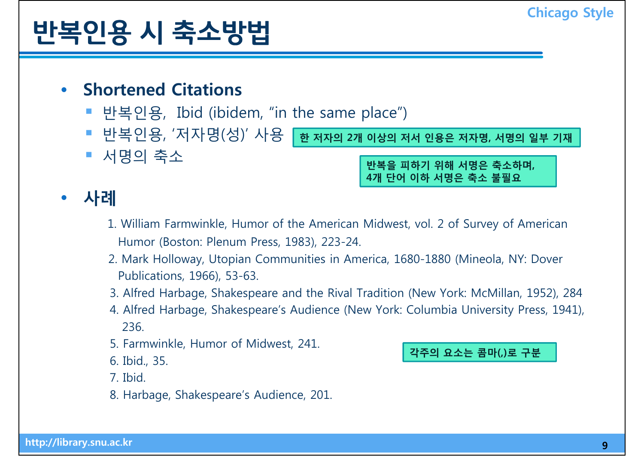# 반복인용 <sup>시</sup> 축소방법 **Chicago Style**

#### • **Shortened Citations**

■ 서명의 축소

- 반복인용, Ibid (ibidem, "in the same place")
- 반복인용, '저자명(성)' 사용 **한 저자의 2개 이상의 저서 인용은 저자명, 서명의 일부 기재**

**반복을 피하기 위해 서명은 축소하며, 4개 단어 이하 서명은 축소 불필요**

#### $\bullet$ **사례**

- 1. William Farmwinkle, Humor of the American Midwest, vol. 2 of Survey of American Humor (Boston: Plenum Press, 1983), 223-24.
- 2. Mark Hollowa y, Utopian Communities in America, 1680-1880 (Mineola, NY: Dover Publications, 1966), 53-63.
- 3. Alfred Harbage, Shakespeare and the Rival Tradition (New York: McMillan, 1952), 284
- 4. Alfred Harbage, Shakespeare's Audience (New York: Columbia University Press, 1941), 236.
- 5. Farmwinkle, Humor of Midwest, 241.<br>6. Ibid., 35.

7. Ibid.

8. Harbage, Shakespeare's Audience, 201.

**로 구분** 6. Ibid., 35. **콤마(,)로**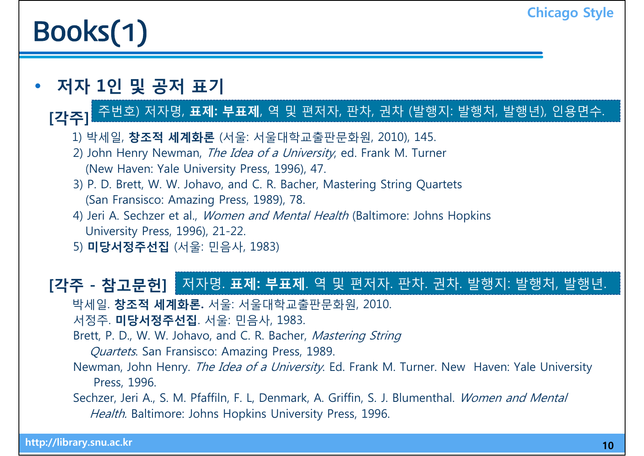# **Books(1)** Chicago Style

#### •**저자 1인 및 공저 표기**

#### **[각주]** 주번호) 저자명, **표제: 부표제**, 역 및 편저자, 판차, 권차 (발행지: 발행처, 발행년), 인용면수.

- 1) 박세일, **창조적 세계화론** (서울: 서울대학교출판문화원, 2010), 145.
- 2) John Henry Newman, *The Idea of a University*, ed. Frank M. Turner<br>(New Haven: Yale University Press, 1996), 47.
- 3) P. D. Brett, W. W. Johavo, and C. R. Bacher, Mastering String Quartets (San Fransisco: Amazing Press, 1989), 78.
- 4) Jeri A. Sechzer et al., Women and Mental Health (Baltimore: Johns Hopkins University Press, 1996), 21-22.
- 5) **미당서정주선집** (서울: 민음사, 1983)

#### **[각주 - 참고문헌]**  저자명. **표제: 부표제**. 역 및 편저자. 판차. 권차. 발행지: 발행처, 발행년.

- 박세일 **창조적 세계화론** 서울: 서울대학교출판문화원 2010 박세일. **세계화론.** 서울대학교출판문화원, 2010.
- 서정주. **미당서정주선집**. 서울: 민음사, 1983.
- Brett, P. D., W. W. Johavo, and C. R. Bacher, Mastering String
	- Quartets. San Fransisco: Amazing Press, 1989.
- Newman, John Henry. The Idea of a University. Ed. Frank M. Turner. New Haven: Yale University Press, 1996.
- Sechzer, Jeri A., S. M. Pfaffiln, F. L. Denmark, A. Griffin, S. J. Blumenthal. Women and Mental Health. Baltimore: Johns Hopkins University Press, 1996.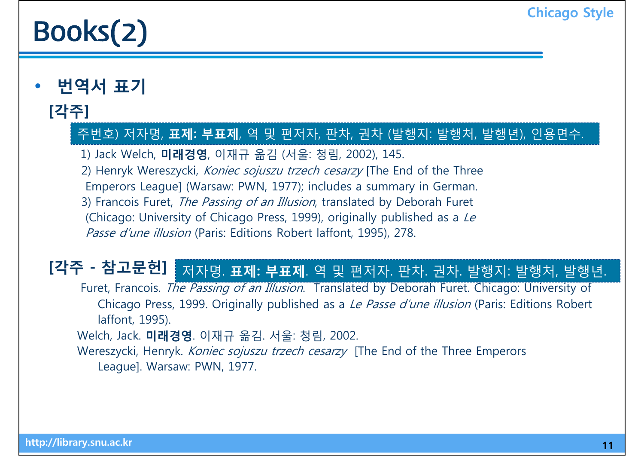# **Books(2)** Chicago Style

•**번역서 표기**

#### **[각주]**

#### 주번호) 저자명, **표제: 부표제**, 역 및 편저자, 판차, 권차 (발행지: 발행처, 발행년), 인용면수.

1) Jack Welch, **미래경영**, 이재규 옮김 (서울: 청림, 2002), 145.

2) Henryk Wereszycki, Koniec sojuszu trzech cesarzy [The End of the Three

Emperors League] (Warsaw: PWN, 1977); includes a summary in German.

3) Francois Furet, The Passing of an Illusion, translated by Deborah Furet

(Chicago: University of Chicago Press, 1999), originally published as a Le Passe d'une illusion (Paris: Editions Robert laffont, 1995), 278.

### **[각주 - 참고문헌]**  저자명. **표제: 부표제**. 역 및 편저자. 판차. 권차. 발행지: 발행처, 발행년.

Furet, Francois. The Passing of an Illusion. Translated by Deborah Furet. Chicago: University of Chicago Press, 1999. Originally published as a *Le Passe d'une illusion* (Paris: Editions Robert laffont, 1995).

Welch, Jack. **미래경영**. 이재규 옮김. 서울: 청림, 2002.

Wereszycki, Henryk. *Koniec sojuszu trzech cesarzy* [The End of the Three Emperors League]. Warsaw: PWN, 1977.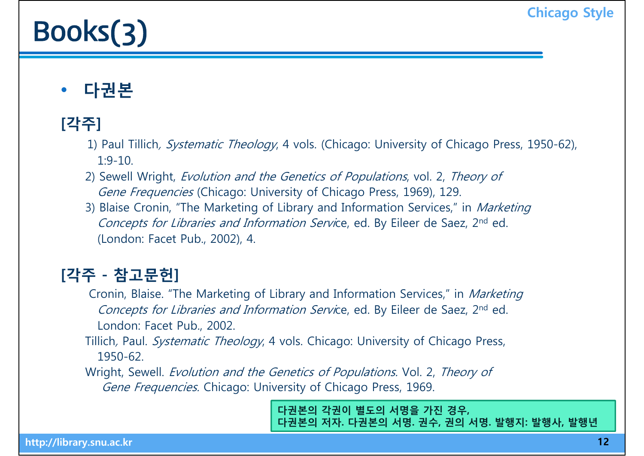# **BOOKS(3)** Chicago Style

#### •**다권본**

### **[각주]**

- 1) Paul Tillich, *Systematic Theology*, 4 vols. (Chicago: University of Chicago Press, 1950-62),  $1.9 - 10$
- 2) Sewell Wright, Evolution and the Genetics of Populations, vol. 2, Theory of Gene Frequencies (Chicago: University of Chicago Press, 1969), 129.
- 3) Blaise Cronin, "The Marketing of Library and Information Services," in *Marketing* Concepts for Libraries and Information Service, ed. By Eileer de Saez, 2<sup>nd</sup> ed. (London: Facet Pub., 2002), 4.

### **[각주 - 참고문헌]**

- Cronin, Blaise. "The Marketing of Library and Information Services," in Marketing Concepts for Libraries and Information Service, ed. By Eileer de Saez, 2nd ed. London: Facet Pub., 2002.
- Tillich, Paul. Systematic Theology, 4 vols. Chicago: University of Chicago Press, 1950-62.
- Wright, Sewell. Evolution and the Genetics of Populations. Vol. 2, Theory of Gene Frequencies. Chicago: University of Chicago Press, 1969.

**다권본의 각권이 별도의 서명을 가진 경우, 다권본의 저자. 다권본의 서명. 권수, 권의 서명. 발행지: 발행사, 발행년**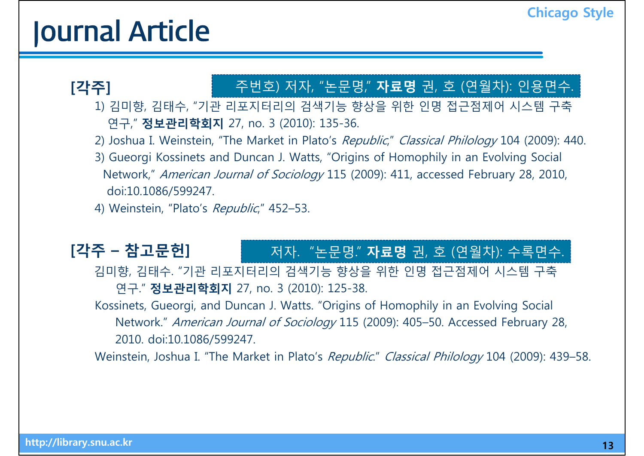## **Journal Article Chicago Style**

#### **[각주]** 주번호) 저자, "논문명," **자료명** 권, 호 (연월차): 인용면수.

1) 김미향, 김태수, "기관 리포지터리의 검색기능 향상을 위한 인명 접근점제어 시스템 구축 연구," **정보관리학회지** 27, no. 3 (2010): 135-36.

2) Joshua I. Weinstein, "The Market in Plato's Republic," Classical Philology 104 (2009): 440.

3) Gueorgi Kossinets and Duncan J. Watts, "Origins of Homophily in an Evolving Social Network," American Journal of Sociology 115 (2009): 411, accessed February 28, 2010, doi:10.1086/599247.

4) Weinstein, "Plato's Republic," 452-53.

#### $[각주 - 참고문헌] 기자. "논문명." 자료명 권, 호 (연월차): 수록면수.$

김미향, 김태수. "기관 리포지터리의 검색기능 향상을 위한 인명 접근점제어 시스템 구축 연구." **정보관리학회지** 27, no. 3 (2010): 125-38.

Kossinets, Gueorgi, and Duncan J. Watts. "Origins of Homophily in an Evolving Social Network." American Journal of Sociology 115 (2009): 405-50. Accessed February 28, 2010. doi:10.1086/599247.

Weinstein, Joshua I. "The Market in Plato's Republic." Classical Philology 104 (2009): 439–58.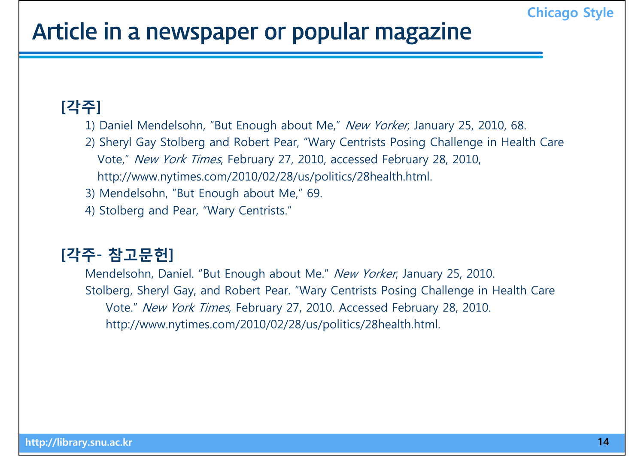### Article in a newspaper or popular magazine

#### **[각주]**

- 1) Daniel Mendelsohn, "But Enough about Me," New Yorker, January 25, 2010, 68.
- 2) Sheryl Gay Stolberg and Robert Pear, "Wary Centrists Posing Challenge in Health Care Vote," *New York Times*, February 27, 2010, accessed February 28, 2010, http://www.nytimes.com/2010/02/28/us/politics/28health.html.
- 3) Mendelsohn, "But Enough about Me," 69.
- 4) Stolber g and Pear, "War y Centrists."

### **[각주 - 참고문헌]**

Mendelsohn, Daniel. "But Enough about Me." New Yorker, January 25, 2010. Stolberg, Sheryl Gay, and Robert Pear. "Wary Centrists Posing Challenge in Health Care Vote." New York Times, February 27, 2010. Accessed February 28, 2010. http://www.nytimes.com/2010/02/28/us/politics/28health.html.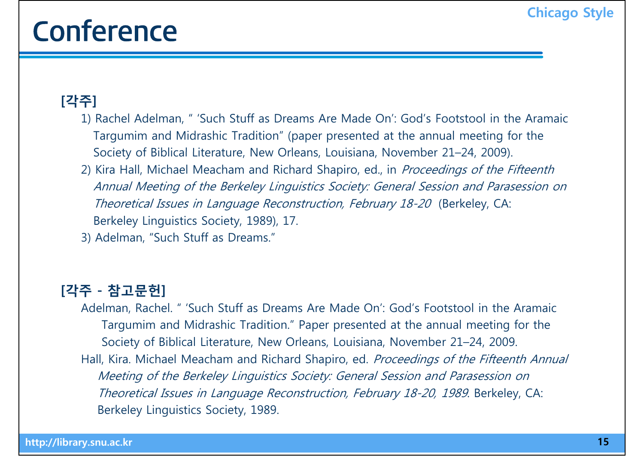## Conference **Conference**

#### **[각주]**

- 1) Rachel Adelman, " 'Such Stuff as Dreams Are Made On': God's Footstool in the Aramaic Targumim and Midrashic Tradition" (paper presented at the annual meeting for the Society of Biblical Literature, New Orleans, Louisiana, November 21–24, 2009).
- 2) Kira Hall, Michael Meacham and Richard Shapiro, ed., in *Proceedings of the Fifteenth* Annual Meeting of the Berkeley Linguistics Society: General Session and Parasession on Theoretical Issues in Language Reconstruction, February 18-20 (Berkeley, CA: Berkeley Linguistics Society, 1989), 17.
- 3) Adelman, "Such Stuff as Dreams."

#### **[각주 - 참고문헌]**

Adelman, Rachel. " 'Such Stuff as Dreams Are Made On': God's Footstool in the Aramaic Targumim and Midrashic Tradition." Paper presented at the annual meeting for the Society of Biblical Literature, New Orleans, Louisiana, November 21–24, 2009. Hall, Kira. Michael Meacham and Richard Shapiro, ed. Proceedings of the Fifteenth Annual Meeting of the Berkeley Linguistics Society: General Session and Parasession on Theoretical Issues in Language Reconstruction, February 18-20, 1989. Berkeley, CA: Berkeley Linguistics Society, 1989.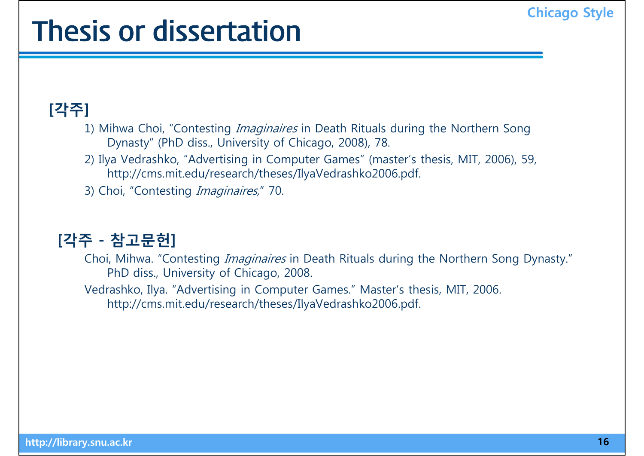## Thesis or dissertation

### **[각주]**

- 1) Mihwa Choi, "Contesting *Imaginaires* in Death Rituals during the Northern Song Dynasty" (PhD diss., University of Chicago, 2008), 78.
- 2) Il ya Vedrashko, "Advertisin g in Computer Games" (master's thesis, MIT, 2006), 59, http://cms.mit.edu/research/theses/IlyaVedrashko2006.pdf.
- 3) Choi, "Contesting *Imaginaires*," 70.

#### **[각주 - 참고문헌]**

- Choi, Mihwa. "Contesting *Imaginaires* in Death Rituals during the Northern Song Dynasty." PhD diss., University of Chicago, 2008.
- Vedrashko, Ilya. "Advertising in Computer Games." Master's thesis, MIT, 2006. http://cms.mit.edu/research/theses/IlyaVedrashko2006.pdf.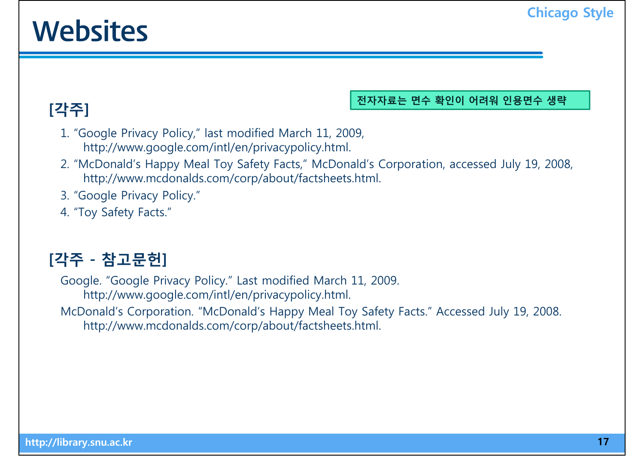## **Websites** Chicago Style

**[각주]**

#### **전자자료는 면수 확인이 어려워 인용면수 생략**

- 1. "Google Privacy Policy," last modified March 11, 2009, http://www.google.com/intl/en/privacypolicy.html.
- 2. "McDonald's Happy Meal Toy Safety Facts," McDonald's Corporation, accessed July 19, 2008, http://www.mcdonalds.com/corp/about/factsheets.html.
- 3. "Google Privacy Policy."
- 4. "Toy Safety Facts."

### **각 참 헌 [각주 - 참고문헌]**

Google. "Google Privacy Policy." Last modified March 11, 2009. http://www.google.com/intl/en/privacypolicy.html.

McDonald's Corporation. "McDonald's Happy Meal Toy Safety Facts." Accessed July 19, 2008. http://www.mcdonalds.com/corp/about/factsheets.html.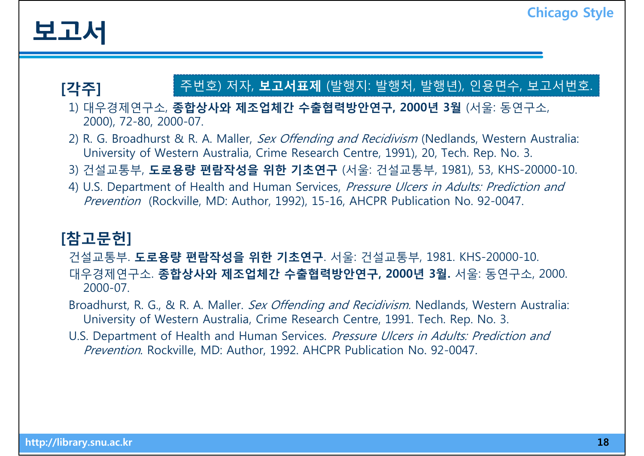

#### **[각주]** | 주번호) 저자, <mark>보고서표제</mark> (발행지: 발행처, 발행년), 인용면수, 보고서번호.

1) 대우경제연구소, **종합상사와 제조업체간 수출협력방안연구, 2000년 3월** (서울: 동연구소, 2000), 72-80, 2000-07.

- 2) R. G. Broadhurst & R. A. Maller, Sex Offending and Recidivism (Nedlands, Western Australia: University of Western Australia, Crime Research Centre, 1991), 20, Tech. Rep. No. 3.
- 3) 건설교통부, **도로용량 편람작성을 위한 기초연구** (서울: 건설교통부, 1981), 53, KHS-20000-10.
- 4) U.S. Department of Health and Human Services, Pressure Ulcers in Adults: Prediction and Prevention (Rockville, MD: Author, 1992), 15-16, AHCPR Publication No. 92-0047.

#### **[참고문헌]**

건설 통부 교 . **도로용량 편람작성을 위한 기초연구**. 서울: 건설 통부 교 , 1981 KHS 1981. KHS-20000-10. 대우경제연구소. **종합상사와 제조업체간 수출협력방안연구, 2000년 3월.** 서울: 동연구소, 2000. 2000-07.

Broadhurst, R. G., & R. A. Maller. *Sex Offending and Recidivism.* Nedlands, Western Australia: University of Western Australia, Crime Research Centre, 1991. Tech. Rep. No. 3.

U.S. Department of Health and Human Services. Pressure Ulcers in Adults: Prediction and *Prevention.* Rockville, MD: Author, 1992. AHCPR Publication No. 92-0047.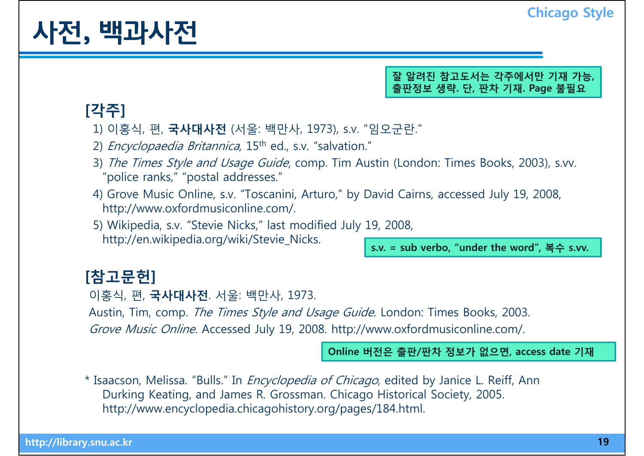## 사전, 백과사전 <u>· Elizande Chicago Style</u>

**잘 알려진 참고도서는 각주에서만 기재 가능, 출판정보 생략. 단, 판차 기재. Page 불필요**

#### **[각주]**

- 1) 이홍식, 편, **국사대사전** (서울: 백만사, 1973), s.v. "임오군란."
- 2) *Encyclopaedia Britannica*,  $15<sup>th</sup>$  ed., s.v. "salvation."
- 3) The Times Style and Usage Guide, comp. Tim Austin (London: Times Books, 2003), s.vv. "police ranks," "postal addresses."
- 4) Grove Music Online, s.v. "Toscanini, Arturo," by David Cairns, accessed July 19, 2008, http://www.oxfordmusiconline.com/.
- 5) Wikipedia, s.v. "Stevie Nicks," last modified July 19, 2008, http://en.wikipedia.org/wiki/Stevie\_Nicks. **s.v. = sub verbo, "under the word", 복수 s.vv.**

#### **[참고문헌]**

이홍식, 편, **국사대사전**. 서울: 백만사, 1973.

Austin, Tim, comp. The Times Style and Usage Guide. London: Times Books, 2003.

Grove Music Online. Accessed July 19, 2008. http://www.oxfordmusiconline.com/.

**Online 버전은 출판/판차 정보가 없으면 access date 기재 없으면,** 

\* Isaacson, Melissa. "Bulls." In *Encyclopedia of Chicago*, edited by Janice L. Reiff, Ann Durking Keating, and James R. Grossman. Chicago Historical Society, 2005. http://www.encyclopedia.chicagohistory.org/pages/184.html.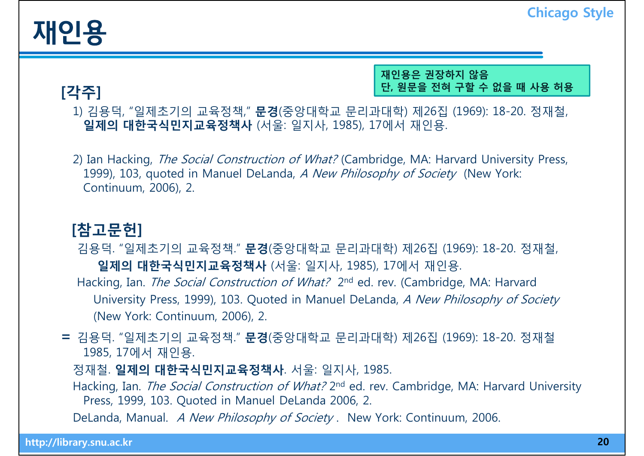**[각주]**

**재인용은 권장하지 않음 단, 원문을 전혀 구할 수 없을 때 사용 허용**

1) 김용덕, "일제초기의 교육정책," **문경**(중앙대학교 문리과대학) 제26집 (1969): 18-20. 정재철, **일제의 대한국식민지교육정책사** (서울: 일지사, 1985), 17에서 재인용.

2) Ian Hacking, *The Social Construction of What?* (Cambridge, MA: Harvard University Press, 1999), 103, quoted in Manuel DeLanda, A New Philosophy of Society (New York: Continuum, 2006), 2.

#### **[참고문헌]**

김용덕. "일제 기의 초 교육정책." **문경**(중앙대학교 문리과대학) 제26집 ( ) 1969 : 18-20. 정재철, **일제의 대한국식민지교육정책사** (서울: 일지사, 1985), 17에서 재인용. Hacking, Ian. *The Social Construction of What?* 2<sup>nd</sup> ed. rev. (Cambridge, MA: Harvard University Press, 1999), 103. Quoted in Manuel DeLanda, A New Philosophy of Society (New York: Continuum, 2006), 2.

**<sup>=</sup>**김용덕. "일제초기의 교육정책." **문경**(중앙대학교 문리과대학) 제26집 (1969): 18-20. 정재철 1985 17 1985, 17에서 재인용.

정재철. **일제의 대한국식민지교육정책사**. 서울: 일지사, 1985.

Hacking, Ian. *The Social Construction of What?* 2<sup>nd</sup> ed. rev. Cambridge, MA: Harvard University Press, 1999, 103. Quoted in Manuel DeLanda 2006, 2.

DeLanda, Manual. A New Philosophy of Society. New York: Continuum, 2006.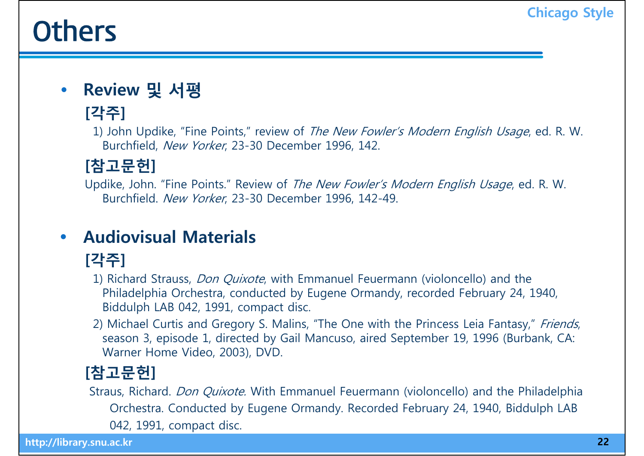### **Others** Chicago Style

 $\bullet$ **Review 및 서평**

### **[각주]**

1) John Updike, "Fine Points," review of The New Fowler's Modern English Usage, ed. R. W. Burchfield, New Yorker, 23-30 December 1996, 142.

#### **[참고문헌]**

Updike, John. "Fine Points." Review of The New Fowler's Modern English Usage, ed. R. W. Burchfield. *New Yorker*, 23-30 December 1996, 142-49.

#### $\bullet$ **Audiovisual Materials**

### **[각주]**

- 1) Richard Strauss, Don Quixote, with Emmanuel Feuermann (violoncello) and the Philadelphia Orchestra, conducted by Eugene Ormandy, recorded February 24, 1940, Biddulph LAB 042, 1991, compact disc.
- 2) Michael Curtis and Gregory S. Malins, "The One with the Princess Leia Fantasy," Friends, season 3, episode 1, directed by Gail Mancuso, aired September 19, 1996 (Burbank, CA: Warner Home Video, 2003), DVD.

### **[참고문헌]**

Straus, Richard. Don Quixote. With Emmanuel Feuermann (violoncello) and the Philadelphia Orchestra. Conducted by Eugene Ormandy. Recorded February 24, 1940, Biddulph LAB<br>042, 1991, compact disc.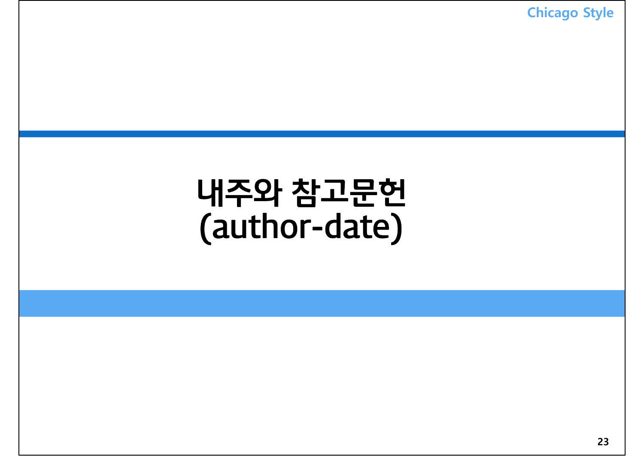**Chicago Style**

### 내주와 참고문헌 (author-date)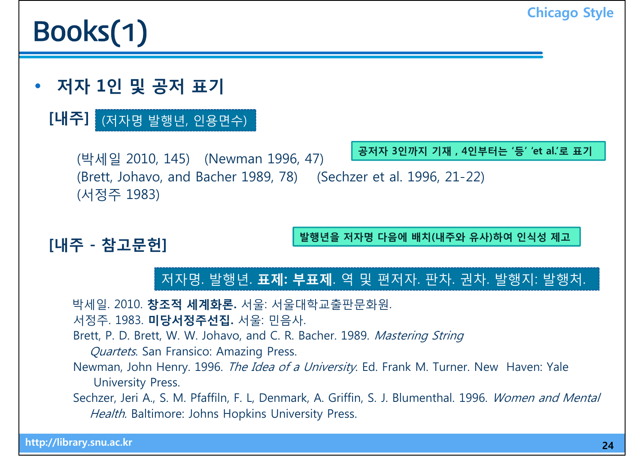# **Books(1)** Chicago Style

•**저자 1인 및 공저 표기**

### **[내주]** (저자명 발행년, 인용면수)

**공저자 3인까지 기재 4인부터는 '등' 'et al '로 표기** (박세일 2010, 145) (Newman 1996, 47) (Brett, Johavo, and Bacher 1989, 78) (Sechzer et al. 1996, 21-22) (서정주 1983) **, 등 et al. 로**

### **[내주 - 참고문헌] 발행년을 저자명 다음에 배치(내주와 유사)하여 인식성 제고**

저자명. 발행년. **표제: 부표제**. 역 및 편저자. 판차. 권차. 발행지: 발행처.

박세일 2010 **창조적 세계화론** 서울: 서울대학교출판문화원 박세일. 2010. **세계화론.** 서울대학교출판문화원.

- 서정주. 1983. **미당서정주선집.** 서울: 민음사.
- Brett, P. D. Brett, W. W. Johavo, and C. R. Bacher. 1989. Mastering String
	- Quartets. San Fransico: Amazing Press.
- Newman, John Henry. 1996. The Idea of a University. Ed. Frank M. Turner. New Haven: Yale University Press.
- Sechzer, Jeri A., S. M. Pfaffiln, F. L, Denmark, A. Griffin, S. J. Blumenthal. 1996. Women and Mental Health. Baltimore: Johns Hopkins University Press.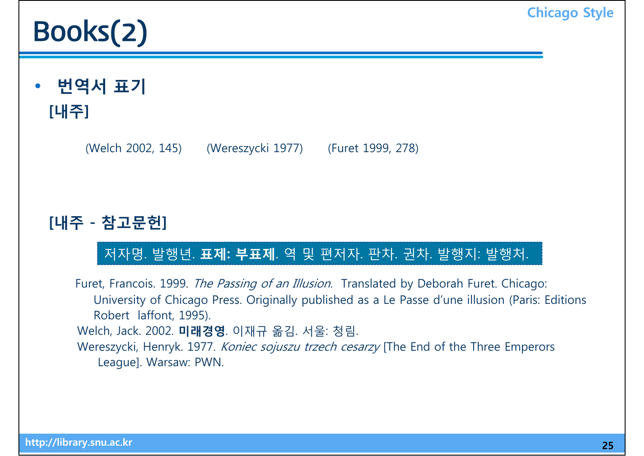# **Books(2)** Chicago Style

• **번역서 표기 [내주]**

(Welch 2002, 145) ( Wereszycki 1977) ( Furet 1999, 278)

#### **[내주 - 참고문헌]**

#### 저자명. 발행년. **표제: 부표제**. 역 및 편저자. 판차. 권차. 발행지: 발행처.

Furet, Francois. 1999. The Passing of an Illusion. Translated by Deborah Furet. Chicago: University of Chicago Press. Originally published as a Le Passe d'une illusion (Paris: Editions Robert laffont, 1995). Welch, Jack. 2002. **미래경영**. 이재규 옮김. 서울: 청림. Wereszycki, Henryk. 1977. Koniec sojuszu trzech cesarzy [The End of the Three Emperors League]. Warsaw: PWN.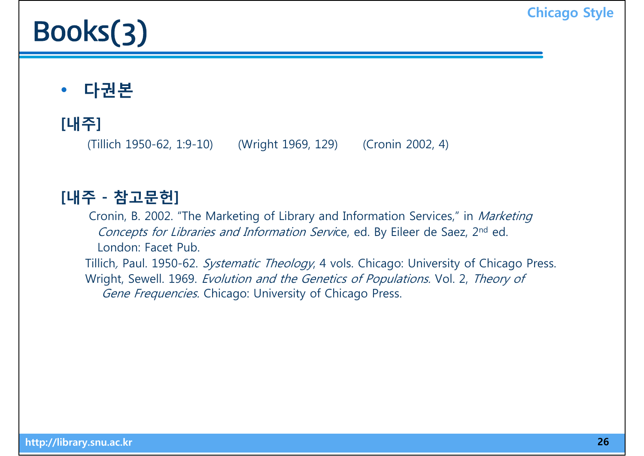# **Books(3)** Chicago Style

#### $\bullet$ **다권본**

### **[내주]**

(Tillich 1950-62, 1:9-10) (Wright 1969, 129) (Cronin 2002, 4)

#### **[내주 - 참고문헌]**

Cronin, B. 2002. "The Marketing of Library and Information Services," in Marketing Concepts for Libraries and Information Service, ed. By Eileer de Saez, 2<sup>nd</sup> ed. London: Facet Pub.

Tillich, Paul. 1950-62. Systematic Theology, 4 vols. Chicago: University of Chicago Press. Wright, Sewell. 1969. Evolution and the Genetics of Populations. Vol. 2, Theory of Gene Frequencies. Chicago: University of Chicago Press.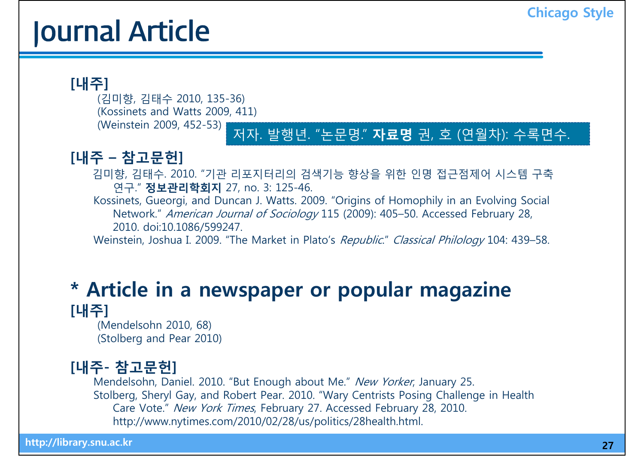## **Journal Article Chicago Style**

#### **[내주]**

(김미향, 김태수 2010, 135-36) (Kossinets and Watts 2009, 411) (Weinstein 2009, 452-53)

#### 저자. 발행년. "논문명." **자료명** 권, 호 (연월차): 수록면수.

#### $[$ **내주** $– 참고문헌]$

김미향, 김태수. 2010. "기관 리포지터리의 검색기능 향상을 위한 인명 접근점제어 시스템 구축 연구." **정보관리학회지** 27, no. 3: 125-46.

Kossinets, Gueorgi, and Duncan J. Watts. 2009. "Origins of Homophily in an Evolving Social Network." American Journal of Sociology 115 (2009): 405–50. Accessed February 28, 2010. doi:10.1086/599247.

Weinstein, Joshua I. 2009. "The Market in Plato's Republic." Classical Philology 104: 439–58.

#### **\* Article in a newspaper or popular magazine [내주]**

(Mendelsohn 2010, 68) (Stolberg and Pear 2010)

#### **[내주- 참고문헌]**

Mendelsohn, Daniel. 2010. "But Enough about Me." New Yorker, January 25. Stolberg, Sheryl Gay, and Robert Pear. 2010. "Wary Centrists Posing Challenge in Health Care Vote." New York Times, February 27. Accessed February 28, 2010. http://www.nytimes.com/2010/02/28/us/politics/28health.html.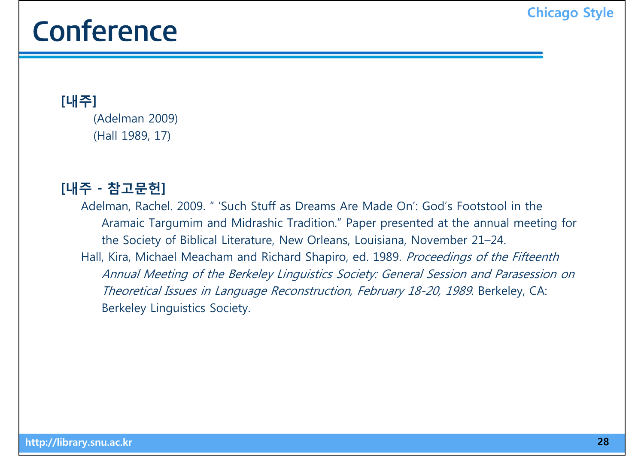## Conference **Conference Conference**

**[내주]** (Adelman 2009) (Hall 1989, 17)

#### **[내주 - 참고문헌]**

Adelman, Rachel. 2009. " 'Such Stuff as Dreams Are Made On': God's Footstool in the Aramaic Targumim and Midrashic Tradition." Paper presented at the annual meeting for the Society of Biblical Literature, New Orleans, Louisiana, November 21–24. Hall, Kira, Michael Meacham and Richard Shapiro, ed. 1989. Proceedings of the Fifteenth Annual Meeting of the Berkeley Linguistics Society: General Session and Parasession on Theoretical Issues in Language Reconstruction, February 18-20, 1989. Berkeley, CA: Berkeley Linguistics Society.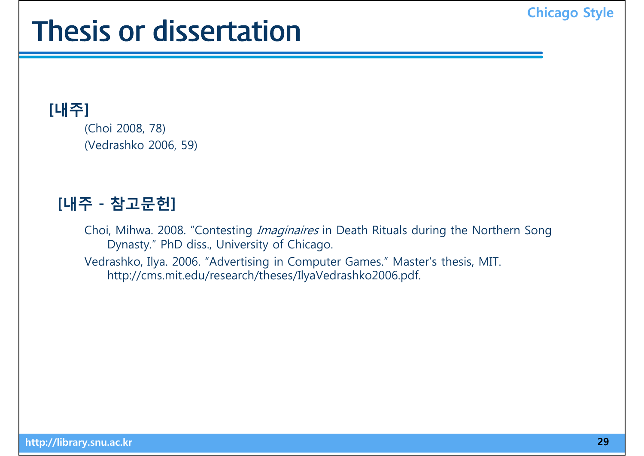# Thesis or dissertation

#### **[내주]**

(Choi 2008, 78) (Vedrashko 2006, 59)

#### [내주 - 참고문헌]

Choi, Mihwa. 2008. "Contesting Imaginaires in Death Rituals during the Northern Song Dynasty." PhD diss., University of Chicago.

Vedrashko, Il ya. 2006. "Advertisin g in Computer Games." Master's thesis, MIT. http://cms.mit.edu/research/theses/IlyaVedrashko2006.pdf.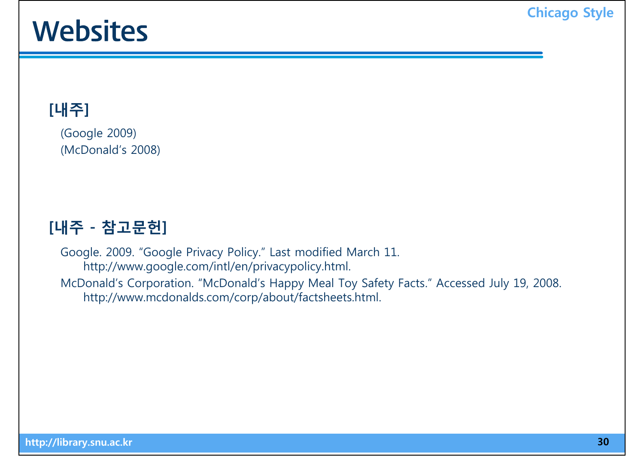## Websites **Chicago Style**

### **[내주]**

(Google 2009) (McDonald's 2008)

#### **[내주 - 참고문헌]**

Google. 2009. "Google Privacy Policy." Last modified March 11. http://www.google.com/intl/en/privacypolicy.html. McDonald's Corporation. "McDonald's Happy Meal Toy Safety Facts." Accessed July 19, 2008. http://www.mcdonalds.com/corp/about/factsheets.html.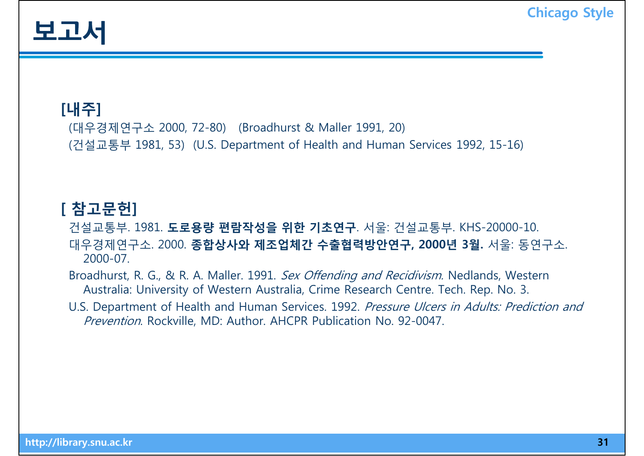

#### **[내주]**

(대우경제연구소 2000, 72-80) (Broadhurst & Maller 1991, 20) (건설교통부 1981, 53) (U.S. Department of Health and Human Services 1992, 15-16)

#### **[ 참 헌 고문 ]**

#### 건설교통부. 1981. **도로용량 편람작성을 위한 기초연구**. 서울: 건설교통부. KHS-20000-10. 대우경제연구소. 2000. **종합상사와 제조업체간 수출협력방안연구, 2000년 3월.** 서울: 동연구소. 2000-07.

Broadhurst, R. G., & R. A. Maller. 1991. Sex Offending and Recidivism. Nedlands, Western Australia: University of Western Australia, Crime Research Centre. Tech. Rep. No. 3.

U.S. Department of Health and Human Services. 1992. Pressure Ulcers in Adults: Prediction and Prevention. Rockville, MD: Author. AHCPR Publication No. 92-0047.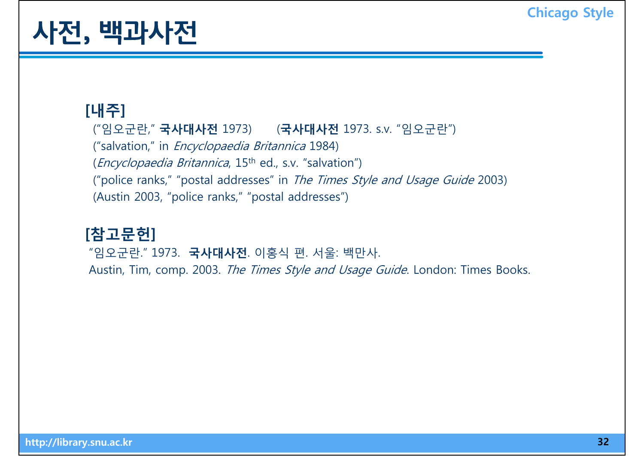# 사전, 백과사전 <u>· Elizande Chicago Style</u>

#### **[내주]**

("임오군란," **국사대사전** 1973) (**국사대사전** 1973. s.v. "임오군란") ("salvation," in *Encyclopaedia Britannica* 1984) (*Encyclopaedia Britannica*, 15<sup>th</sup> ed., s.v. "salvation") ("police ranks," "postal addresses" in The Times Style and Usage Guide 2003) (Austin 2003, "police ranks," "postal addresses")

### **[참고문헌]**

"임오군란. " 1973. **국사대사전**. 이홍식 편. 서울: 백만사. Austin, Tim, comp. 2003. The Times Style and Usage Guide. London: Times Books.